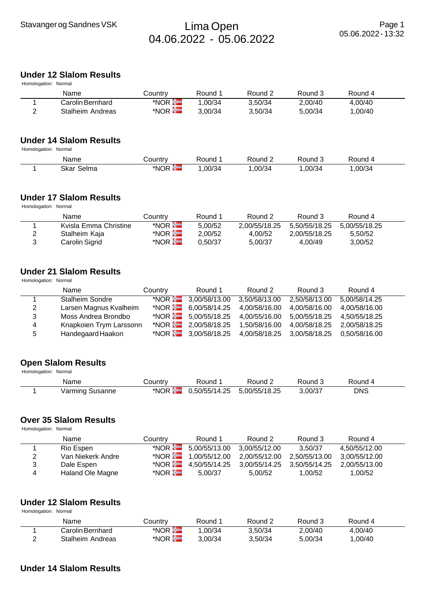# Stavanger og Sandnes VSK Franklands (Den Lima Open 04.06.2022 - 05.06.2022

## **Under 12 Slalom Results**

|   | Homologation: Normal |         |         |         |         |         |  |  |  |  |  |
|---|----------------------|---------|---------|---------|---------|---------|--|--|--|--|--|
|   | Name                 | Countrv | Round 1 | Round 2 | Round 3 | Round 4 |  |  |  |  |  |
|   | Carolin Bernhard     | $*NOR$  | 1.00/34 | 3.50/34 | 2.00/40 | 4.00/40 |  |  |  |  |  |
| າ | Stalheim Andreas     | *NOR H  | 3.00/34 | 3.50/34 | 5.00/34 | 1.00/40 |  |  |  |  |  |
|   |                      |         |         |         |         |         |  |  |  |  |  |

## **Under 14 Slalom Results**

Homologation: Normal

| Name                       | ∶ountr<br>ע ו   | ≀ound | tound: | ound:  | ₹ound  |  |
|----------------------------|-----------------|-------|--------|--------|--------|--|
| Skar<br>--<br>Selma<br>___ | *NOR<br>- E I B | 00/34 | .00/34 | .00/34 | ,00/34 |  |

### **Under 17 Slalom Results**

Homologation: Normal

|   | Name                  | Country                | Round 1 | Round 2       | Round 3       | Round 4       |  |
|---|-----------------------|------------------------|---------|---------------|---------------|---------------|--|
|   | Kvisla Emma Christine | $*$ NOR $\blacksquare$ | 5.00/52 | 2.00/55/18.25 | 5.50/55/18.25 | 5.00/55/18.25 |  |
| ▵ | Stalheim Kaja         | *NOR $\blacksquare$    | 2.00/52 | 4.00/52       | 2.00/55/18.25 | 5.50/52       |  |
|   | Carolin Sigrid        | $*$ NOR $\blacksquare$ | 0.50/37 | 5.00/37       | 4.00/49       | 3.00/52       |  |

## **Under 21 Slalom Results**

Homologation: Normal

|    | Name                    | Country           | Round 1                          | Round 2       | Round 3       | Round 4       |
|----|-------------------------|-------------------|----------------------------------|---------------|---------------|---------------|
|    | <b>Stalheim Sondre</b>  |                   | *NOR $\frac{1}{2}$ 3,00/58/13.00 | 3,50/58/13.00 | 2,50/58/13.00 | 5,00/58/14.25 |
| 2  | Larsen Magnus Kvalheim  | *NOR <del>H</del> | 6,00/58/14.25                    | 4,00/58/16.00 | 4,00/58/16.00 | 4,00/58/16.00 |
| 3  | Moss Andrea Brondbo     |                   | *NOR $5.00/55/18.25$             | 4,00/55/16.00 | 5,00/55/18.25 | 4,50/55/18.25 |
| 4  | Knapkoien Trym Larssonn |                   | *NOR $\frac{1}{2}$ 2,00/58/18.25 | 1,50/58/16.00 | 4,00/58/18.25 | 2,00/58/18.25 |
| -5 | Handegaard Haakon       |                   | *NOR $\frac{1}{2}$ 3,00/58/18.25 | 4,00/58/18.25 | 3,00/58/18.25 | 0,50/58/16.00 |

### **Open Slalom Results** Homologation: Normal

| . | Name            | こountry            | Round         | Round 2       | Round 3 | Round 4    |  |
|---|-----------------|--------------------|---------------|---------------|---------|------------|--|
|   | Varming Susanne | *NOR <del>‼⊒</del> | 0.50/55/14.25 | 5.00/55/18.25 | 3,00/37 | <b>DNS</b> |  |

### **Over 35 Slalom Results**

Homologation: Normal

|   | Name              | Country             | Round 1                          | Round 2                     | Round 3       | Round 4       |  |
|---|-------------------|---------------------|----------------------------------|-----------------------------|---------------|---------------|--|
|   | Rio Espen         |                     | *NOR $\frac{1}{2}$ 5,00/55/13.00 | 3,00/55/12.00               | 3.50/37       | 4.50/55/12.00 |  |
| 2 | Van Niekerk Andre |                     | *NOR $\frac{1}{1}$ 1,00/55/12.00 | 2,00/55/12.00               | 2,50/55/13.00 | 3.00/55/12.00 |  |
| 3 | Dale Espen        |                     | *NOR $\frac{1}{2}$ 4,50/55/14.25 | 3,00/55/14.25 3,50/55/14.25 |               | 2.00/55/13.00 |  |
| 4 | Haland Ole Magne  | *NOR $\blacksquare$ | 5.00/37                          | 5.00/52                     | 1.00/52       | 1.00/52       |  |

### **Under 12 Slalom Results** Homologation: Normal

| Name                    | Country           | Round 1 | Round 2 | Round 3 | Round 4 |  |
|-------------------------|-------------------|---------|---------|---------|---------|--|
| Carolin Bernhard        | *NOR <del>H</del> | .00/34  | 3.50/34 | 2.00/40 | 4.00/40 |  |
| <b>Stalheim Andreas</b> | *NOR <b>H</b>     | 3.00/34 | 3.50/34 | 5.00/34 | .00/40  |  |

## **Under 14 Slalom Results**